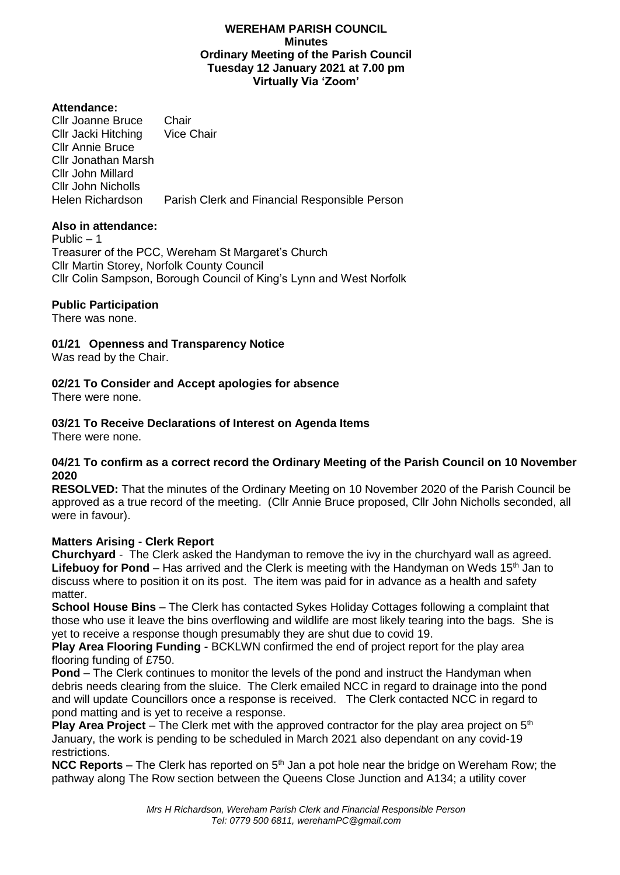### **WEREHAM PARISH COUNCIL Minutes Ordinary Meeting of the Parish Council Tuesday 12 January 2021 at 7.00 pm Virtually Via 'Zoom'**

## **Attendance:**

Cllr Joanne Bruce Chair<br>Cllr Jacki Hitching Vice Chair Cllr Jacki Hitching Cllr Annie Bruce Cllr Jonathan Marsh Cllr John Millard Cllr John Nicholls Parish Clerk and Financial Responsible Person

# **Also in attendance:**

Public  $-1$ Treasurer of the PCC, Wereham St Margaret's Church Cllr Martin Storey, Norfolk County Council Cllr Colin Sampson, Borough Council of King's Lynn and West Norfolk

# **Public Participation**

There was none.

**01/21 Openness and Transparency Notice**

Was read by the Chair.

# **02/21 To Consider and Accept apologies for absence**

There were none.

# **03/21 To Receive Declarations of Interest on Agenda Items**

There were none.

## **04/21 To confirm as a correct record the Ordinary Meeting of the Parish Council on 10 November 2020**

**RESOLVED:** That the minutes of the Ordinary Meeting on 10 November 2020 of the Parish Council be approved as a true record of the meeting. (Cllr Annie Bruce proposed, Cllr John Nicholls seconded, all were in favour).

# **Matters Arising - Clerk Report**

**Churchyard** - The Clerk asked the Handyman to remove the ivy in the churchyard wall as agreed. Lifebuoy for Pond – Has arrived and the Clerk is meeting with the Handyman on Weds 15<sup>th</sup> Jan to discuss where to position it on its post. The item was paid for in advance as a health and safety matter.

**School House Bins** – The Clerk has contacted Sykes Holiday Cottages following a complaint that those who use it leave the bins overflowing and wildlife are most likely tearing into the bags. She is yet to receive a response though presumably they are shut due to covid 19.

**Play Area Flooring Funding -** BCKLWN confirmed the end of project report for the play area flooring funding of £750.

**Pond** – The Clerk continues to monitor the levels of the pond and instruct the Handyman when debris needs clearing from the sluice. The Clerk emailed NCC in regard to drainage into the pond and will update Councillors once a response is received. The Clerk contacted NCC in regard to pond matting and is yet to receive a response.

**Play Area Project** – The Clerk met with the approved contractor for the play area project on 5<sup>th</sup> January, the work is pending to be scheduled in March 2021 also dependant on any covid-19 restrictions.

**NCC Reports** – The Clerk has reported on 5<sup>th</sup> Jan a pot hole near the bridge on Wereham Row; the pathway along The Row section between the Queens Close Junction and A134; a utility cover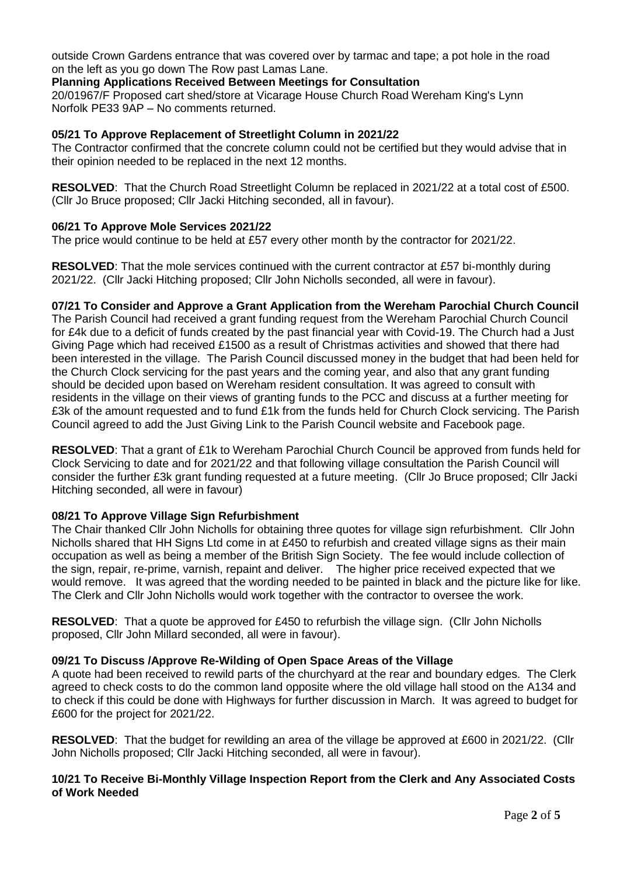outside Crown Gardens entrance that was covered over by tarmac and tape; a pot hole in the road on the left as you go down The Row past Lamas Lane.

## **Planning Applications Received Between Meetings for Consultation**

20/01967/F Proposed cart shed/store at Vicarage House Church Road Wereham King's Lynn Norfolk PE33 9AP – No comments returned.

## **05/21 To Approve Replacement of Streetlight Column in 2021/22**

The Contractor confirmed that the concrete column could not be certified but they would advise that in their opinion needed to be replaced in the next 12 months.

**RESOLVED**: That the Church Road Streetlight Column be replaced in 2021/22 at a total cost of £500. (Cllr Jo Bruce proposed; Cllr Jacki Hitching seconded, all in favour).

## **06/21 To Approve Mole Services 2021/22**

The price would continue to be held at £57 every other month by the contractor for 2021/22.

**RESOLVED**: That the mole services continued with the current contractor at £57 bi-monthly during 2021/22. (Cllr Jacki Hitching proposed; Cllr John Nicholls seconded, all were in favour).

### **07/21 To Consider and Approve a Grant Application from the Wereham Parochial Church Council**

The Parish Council had received a grant funding request from the Wereham Parochial Church Council for £4k due to a deficit of funds created by the past financial year with Covid-19. The Church had a Just Giving Page which had received £1500 as a result of Christmas activities and showed that there had been interested in the village. The Parish Council discussed money in the budget that had been held for the Church Clock servicing for the past years and the coming year, and also that any grant funding should be decided upon based on Wereham resident consultation. It was agreed to consult with residents in the village on their views of granting funds to the PCC and discuss at a further meeting for £3k of the amount requested and to fund £1k from the funds held for Church Clock servicing. The Parish Council agreed to add the Just Giving Link to the Parish Council website and Facebook page.

**RESOLVED**: That a grant of £1k to Wereham Parochial Church Council be approved from funds held for Clock Servicing to date and for 2021/22 and that following village consultation the Parish Council will consider the further £3k grant funding requested at a future meeting. (Cllr Jo Bruce proposed; Cllr Jacki Hitching seconded, all were in favour)

## **08/21 To Approve Village Sign Refurbishment**

The Chair thanked Cllr John Nicholls for obtaining three quotes for village sign refurbishment. Cllr John Nicholls shared that HH Signs Ltd come in at £450 to refurbish and created village signs as their main occupation as well as being a member of the British Sign Society. The fee would include collection of the sign, repair, re-prime, varnish, repaint and deliver. The higher price received expected that we would remove. It was agreed that the wording needed to be painted in black and the picture like for like. The Clerk and Cllr John Nicholls would work together with the contractor to oversee the work.

**RESOLVED**: That a quote be approved for £450 to refurbish the village sign. (Cllr John Nicholls proposed, Cllr John Millard seconded, all were in favour).

## **09/21 To Discuss /Approve Re-Wilding of Open Space Areas of the Village**

A quote had been received to rewild parts of the churchyard at the rear and boundary edges. The Clerk agreed to check costs to do the common land opposite where the old village hall stood on the A134 and to check if this could be done with Highways for further discussion in March. It was agreed to budget for £600 for the project for 2021/22.

**RESOLVED**: That the budget for rewilding an area of the village be approved at £600 in 2021/22. (Cllr John Nicholls proposed; Cllr Jacki Hitching seconded, all were in favour).

### **10/21 To Receive Bi-Monthly Village Inspection Report from the Clerk and Any Associated Costs of Work Needed**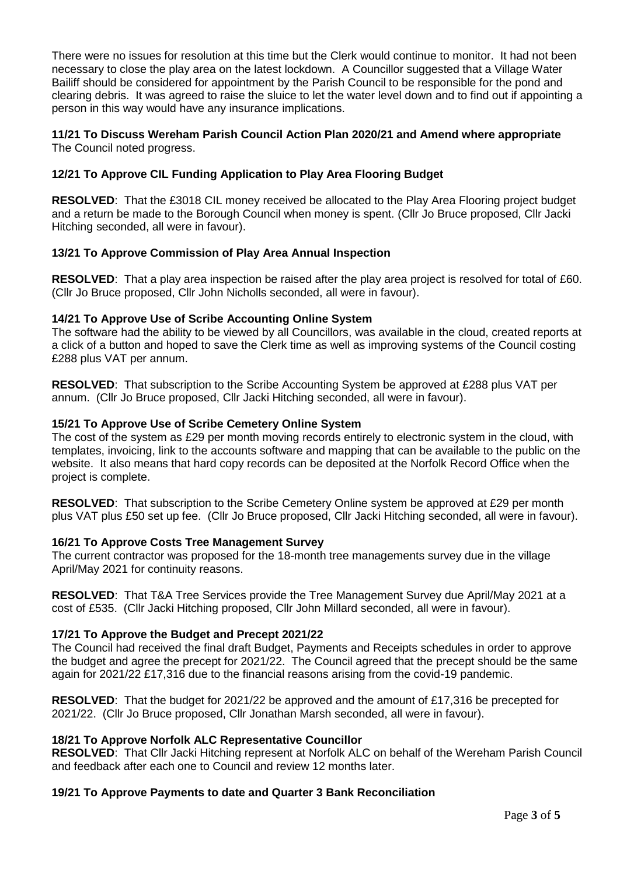There were no issues for resolution at this time but the Clerk would continue to monitor. It had not been necessary to close the play area on the latest lockdown. A Councillor suggested that a Village Water Bailiff should be considered for appointment by the Parish Council to be responsible for the pond and clearing debris. It was agreed to raise the sluice to let the water level down and to find out if appointing a person in this way would have any insurance implications.

### **11/21 To Discuss Wereham Parish Council Action Plan 2020/21 and Amend where appropriate** The Council noted progress.

# **12/21 To Approve CIL Funding Application to Play Area Flooring Budget**

**RESOLVED**: That the £3018 CIL money received be allocated to the Play Area Flooring project budget and a return be made to the Borough Council when money is spent. (Cllr Jo Bruce proposed, Cllr Jacki Hitching seconded, all were in favour).

## **13/21 To Approve Commission of Play Area Annual Inspection**

**RESOLVED:** That a play area inspection be raised after the play area project is resolved for total of £60. (Cllr Jo Bruce proposed, Cllr John Nicholls seconded, all were in favour).

## **14/21 To Approve Use of Scribe Accounting Online System**

The software had the ability to be viewed by all Councillors, was available in the cloud, created reports at a click of a button and hoped to save the Clerk time as well as improving systems of the Council costing £288 plus VAT per annum.

**RESOLVED**: That subscription to the Scribe Accounting System be approved at £288 plus VAT per annum. (Cllr Jo Bruce proposed, Cllr Jacki Hitching seconded, all were in favour).

### **15/21 To Approve Use of Scribe Cemetery Online System**

The cost of the system as £29 per month moving records entirely to electronic system in the cloud, with templates, invoicing, link to the accounts software and mapping that can be available to the public on the website. It also means that hard copy records can be deposited at the Norfolk Record Office when the project is complete.

**RESOLVED**: That subscription to the Scribe Cemetery Online system be approved at £29 per month plus VAT plus £50 set up fee. (Cllr Jo Bruce proposed, Cllr Jacki Hitching seconded, all were in favour).

## **16/21 To Approve Costs Tree Management Survey**

The current contractor was proposed for the 18-month tree managements survey due in the village April/May 2021 for continuity reasons.

**RESOLVED**: That T&A Tree Services provide the Tree Management Survey due April/May 2021 at a cost of £535. (Cllr Jacki Hitching proposed, Cllr John Millard seconded, all were in favour).

## **17/21 To Approve the Budget and Precept 2021/22**

The Council had received the final draft Budget, Payments and Receipts schedules in order to approve the budget and agree the precept for 2021/22. The Council agreed that the precept should be the same again for 2021/22 £17,316 due to the financial reasons arising from the covid-19 pandemic.

**RESOLVED**: That the budget for 2021/22 be approved and the amount of £17,316 be precepted for 2021/22. (Cllr Jo Bruce proposed, Cllr Jonathan Marsh seconded, all were in favour).

## **18/21 To Approve Norfolk ALC Representative Councillor**

**RESOLVED**: That Cllr Jacki Hitching represent at Norfolk ALC on behalf of the Wereham Parish Council and feedback after each one to Council and review 12 months later.

## **19/21 To Approve Payments to date and Quarter 3 Bank Reconciliation**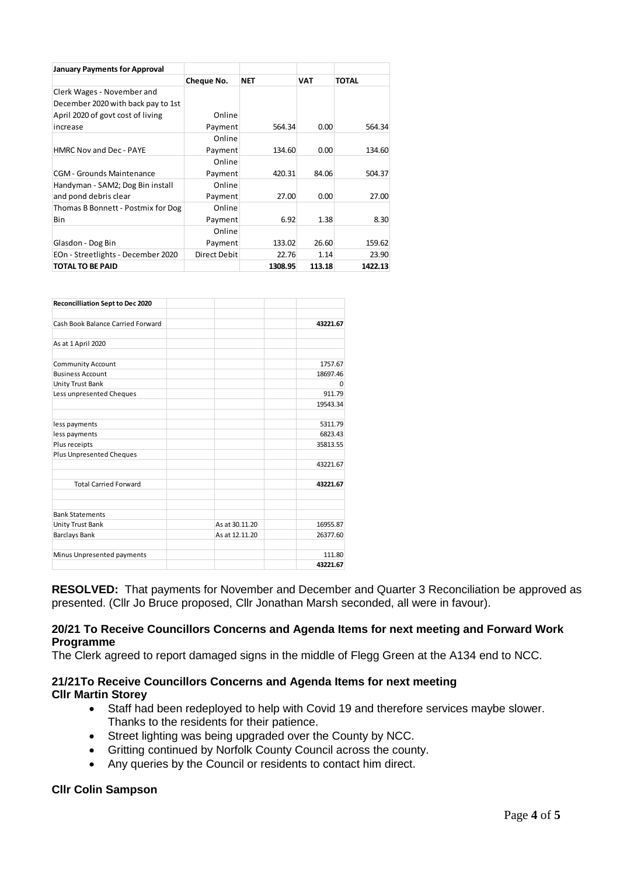| <b>January Payments for Approval</b> |              |         |        |              |
|--------------------------------------|--------------|---------|--------|--------------|
|                                      | Cheque No.   | NET     | VAT    | <b>TOTAL</b> |
| Clerk Wages - November and           |              |         |        |              |
| December 2020 with back pay to 1st   |              |         |        |              |
| April 2020 of govt cost of living    | Online       |         |        |              |
| increase                             | Payment      | 564.34  | 0.00   | 564.34       |
|                                      | Online       |         |        |              |
| <b>HMRC Nov and Dec - PAYE</b>       | Payment      | 134.60  | 0.00   | 134.60       |
|                                      | Online       |         |        |              |
| <b>CGM</b> - Grounds Maintenance     | Payment      | 420.31  | 84.06  | 504.37       |
| Handyman - SAM2; Dog Bin install     | Online       |         |        |              |
| and pond debris clear                | Payment      | 27.00   | 0.00   | 27.00        |
| Thomas B Bonnett - Postmix for Dog   | Online       |         |        |              |
| Bin                                  | Payment      | 6.92    | 1.38   | 8.30         |
|                                      | Online       |         |        |              |
| Glasdon - Dog Bin                    | Payment      | 133.02  | 26.60  | 159.62       |
| EOn - Streetlights - December 2020   | Direct Debit | 22.76   | 1.14   | 23.90        |
| <b>TOTAL TO BE PAID</b>              |              | 1308.95 | 113.18 | 1422.13      |

| Reconcilliation Sept to Dec 2020  |                |          |
|-----------------------------------|----------------|----------|
| Cash Book Balance Carried Forward |                | 43221.67 |
| As at 1 April 2020                |                |          |
| <b>Community Account</b>          |                | 1757.67  |
| <b>Business Account</b>           |                | 18697.46 |
| Unity Trust Bank                  |                | $\Omega$ |
| Less unpresented Cheques          |                | 911.79   |
|                                   |                | 19543.34 |
| less payments                     |                | 5311.79  |
| less payments                     |                | 6823.43  |
| Plus receipts                     |                | 35813.55 |
| <b>Plus Unpresented Cheques</b>   |                |          |
|                                   |                | 43221.67 |
| <b>Total Carried Forward</b>      |                | 43221.67 |
| <b>Bank Statements</b>            |                |          |
| Unity Trust Bank                  | As at 30.11.20 | 16955.87 |
| <b>Barclays Bank</b>              | As at 12.11.20 | 26377.60 |
| Minus Unpresented payments        |                | 111.80   |
|                                   |                | 43221.67 |

**RESOLVED:** That payments for November and December and Quarter 3 Reconciliation be approved as presented. (Cllr Jo Bruce proposed, Cllr Jonathan Marsh seconded, all were in favour).

#### **20/21 To Receive Councillors Concerns and Agenda Items for next meeting and Forward Work Programme**

The Clerk agreed to report damaged signs in the middle of Flegg Green at the A134 end to NCC.

## **21/21To Receive Councillors Concerns and Agenda Items for next meeting Cllr Martin Storey**

- Staff had been redeployed to help with Covid 19 and therefore services maybe slower. Thanks to the residents for their patience.
- Street lighting was being upgraded over the County by NCC.
- Gritting continued by Norfolk County Council across the county.
- Any queries by the Council or residents to contact him direct.

## **Cllr Colin Sampson**